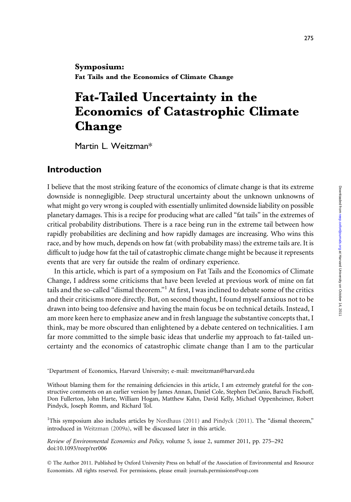Symposium: Fat Tails and the Economics of Climate Change

# Fat-Tailed Uncertainty in the Economics of Catastrophic Climate Change

Martin L. Weitzman\*

## Introduction

I believe that the most striking feature of the economics of climate change is that its extreme downside is nonnegligible. Deep structural uncertainty about the unknown unknowns of what might go very wrong is coupled with essentially unlimited downside liability on possible planetary damages. This is a recipe for producing what are called ''fat tails'' in the extremes of critical probability distributions. There is a race being run in the extreme tail between how rapidly probabilities are declining and how rapidly damages are increasing. Who wins this race, and by how much, depends on how fat (with probability mass) the extreme tails are. It is difficult to judge how fat the tail of catastrophic climate change might be because it represents events that are very far outside the realm of ordinary experience.

In this article, which is part of a symposium on Fat Tails and the Economics of Climate Change, I address some criticisms that have been leveled at previous work of mine on fat tails and the so-called ''dismal theorem.''<sup>1</sup> At first, I was inclined to debate some of the critics and their criticisms more directly. But, on second thought, I found myself anxious not to be drawn into being too defensive and having the main focus be on technical details. Instead, I am more keen here to emphasize anew and in fresh language the substantive concepts that, I think, may be more obscured than enlightened by a debate centered on technicalities. I am far more committed to the simple basic ideas that underlie my approach to fat-tailed uncertainty and the economics of catastrophic climate change than I am to the particular

\*Department of Economics, Harvard University; e-mail: mweitzman@harvard.edu

Without blaming them for the remaining deficiencies in this article, I am extremely grateful for the constructive comments on an earlier version by James Annan, Daniel Cole, Stephen DeCanio, Baruch Fischoff, Don Fullerton, John Harte, William Hogan, Matthew Kahn, David Kelly, Michael Oppenheimer, Robert Pindyck, Joseph Romm, and Richard Tol.

<sup>1</sup>This symposium also includes articles by Nordhaus (2011) and Pindyck (2011). The "dismal theorem," introduced in Weitzman (2009a), will be discussed later in this article.

Review of Environmental Economics and Policy, volume 5, issue 2, summer 2011, pp. 275–292 doi:10.1093/reep/rer006

 The Author 2011. Published by Oxford University Press on behalf of the Association of Environmental and Resource Economists. All rights reserved. For permissions, please email: journals.permissions@oup.com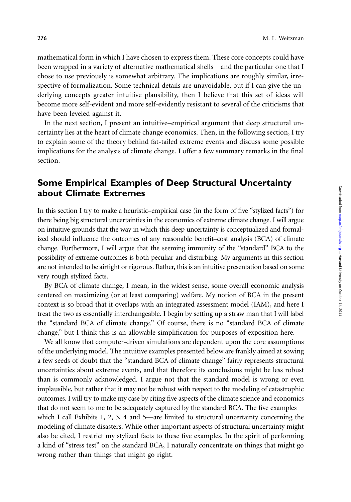mathematical form in which I have chosen to express them. These core concepts could have been wrapped in a variety of alternative mathematical shells—and the particular one that I chose to use previously is somewhat arbitrary. The implications are roughly similar, irrespective of formalization. Some technical details are unavoidable, but if I can give the underlying concepts greater intuitive plausibility, then I believe that this set of ideas will become more self-evident and more self-evidently resistant to several of the criticisms that have been leveled against it.

In the next section, I present an intuitive–empirical argument that deep structural uncertainty lies at the heart of climate change economics. Then, in the following section, I try to explain some of the theory behind fat-tailed extreme events and discuss some possible implications for the analysis of climate change. I offer a few summary remarks in the final section.

# Some Empirical Examples of Deep Structural Uncertainty about Climate Extremes

In this section I try to make a heuristic–empirical case (in the form of five "stylized facts") for there being big structural uncertainties in the economics of extreme climate change. I will argue on intuitive grounds that the way in which this deep uncertainty is conceptualized and formalized should influence the outcomes of any reasonable benefit–cost analysis (BCA) of climate change. Furthermore, I will argue that the seeming immunity of the "standard" BCA to the possibility of extreme outcomes is both peculiar and disturbing. My arguments in this section are not intended to be airtight or rigorous. Rather, this is an intuitive presentation based on some very rough stylized facts.

By BCA of climate change, I mean, in the widest sense, some overall economic analysis centered on maximizing (or at least comparing) welfare. My notion of BCA in the present context is so broad that it overlaps with an integrated assessment model (IAM), and here I treat the two as essentially interchangeable. I begin by setting up a straw man that I will label the ''standard BCA of climate change.'' Of course, there is no ''standard BCA of climate change,'' but I think this is an allowable simplification for purposes of exposition here.

We all know that computer-driven simulations are dependent upon the core assumptions of the underlying model. The intuitive examples presented below are frankly aimed at sowing a few seeds of doubt that the ''standard BCA of climate change'' fairly represents structural uncertainties about extreme events, and that therefore its conclusions might be less robust than is commonly acknowledged. I argue not that the standard model is wrong or even implausible, but rather that it may not be robust with respect to the modeling of catastrophic outcomes. I will try to make my case by citing five aspects of the climate science and economics that do not seem to me to be adequately captured by the standard BCA. The five examples which I call Exhibits 1, 2, 3, 4 and 5—are limited to structural uncertainty concerning the modeling of climate disasters. While other important aspects of structural uncertainty might also be cited, I restrict my stylized facts to these five examples. In the spirit of performing a kind of ''stress test'' on the standard BCA, I naturally concentrate on things that might go wrong rather than things that might go right.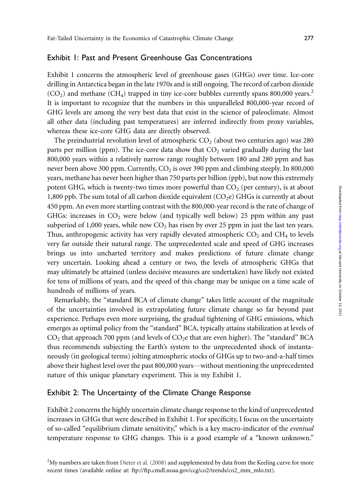### Exhibit 1: Past and Present Greenhouse Gas Concentrations

Exhibit 1 concerns the atmospheric level of greenhouse gases (GHGs) over time. Ice-core drilling in Antarctica began in the late 1970s and is still ongoing. The record of carbon dioxide  $(CO<sub>2</sub>)$  and methane  $(CH<sub>4</sub>)$  trapped in tiny ice-core bubbles currently spans 800,000 years.<sup>2</sup> It is important to recognize that the numbers in this unparalleled 800,000-year record of GHG levels are among the very best data that exist in the science of paleoclimate. Almost all other data (including past temperatures) are inferred indirectly from proxy variables, whereas these ice-core GHG data are directly observed.

The preindustrial revolution level of atmospheric  $CO<sub>2</sub>$  (about two centuries ago) was 280 parts per million (ppm). The ice-core data show that  $CO<sub>2</sub>$  varied gradually during the last 800,000 years within a relatively narrow range roughly between 180 and 280 ppm and has never been above 300 ppm. Currently,  $CO<sub>2</sub>$  is over 390 ppm and climbing steeply. In 800,000 years, methane has never been higher than 750 parts per billion (ppb), but now this extremely potent GHG, which is twenty-two times more powerful than  $CO<sub>2</sub>$  (per century), is at about 1,800 ppb. The sum total of all carbon dioxide equivalent  $(CO<sub>2</sub>e)$  GHGs is currently at about 450 ppm. An even more startling contrast with the 800,000-year record is the rate of change of GHGs: increases in  $CO<sub>2</sub>$  were below (and typically well below) 25 ppm within any past subperiod of 1,000 years, while now  $CO<sub>2</sub>$  has risen by over 25 ppm in just the last ten years. Thus, anthropogenic activity has very rapidly elevated atmospheric  $CO<sub>2</sub>$  and  $CH<sub>4</sub>$  to levels very far outside their natural range. The unprecedented scale and speed of GHG increases brings us into uncharted territory and makes predictions of future climate change very uncertain. Looking ahead a century or two, the levels of atmospheric GHGs that may ultimately be attained (unless decisive measures are undertaken) have likely not existed for tens of millions of years, and the speed of this change may be unique on a time scale of hundreds of millions of years.

Remarkably, the ''standard BCA of climate change'' takes little account of the magnitude of the uncertainties involved in extrapolating future climate change so far beyond past experience. Perhaps even more surprising, the gradual tightening of GHG emissions, which emerges as optimal policy from the ''standard'' BCA, typically attains stabilization at levels of  $CO<sub>2</sub>$  that approach 700 ppm (and levels of  $CO<sub>2</sub>e$  that are even higher). The "standard" BCA thus recommends subjecting the Earth's system to the unprecedented shock of instantaneously (in geological terms) jolting atmospheric stocks of GHGs up to two-and-a-half times above their highest level over the past 800,000 years—without mentioning the unprecedented nature of this unique planetary experiment. This is my Exhibit 1.

#### Exhibit 2: The Uncertainty of the Climate Change Response

Exhibit 2 concerns the highly uncertain climate change response to the kind of unprecedented increases in GHGs that were described in Exhibit 1. For specificity, I focus on the uncertainty of so-called ''equilibrium climate sensitivity,'' which is a key macro-indicator of the eventual temperature response to GHG changes. This is a good example of a ''known unknown.''

 $^{2}$ My numbers are taken from Dieter et al. (2008) and supplemented by data from the Keeling curve for more recent times (available online at: ftp://ftp.cmdl.noaa.gov/ccg/co2/trends/co2\_mm\_mlo.txt).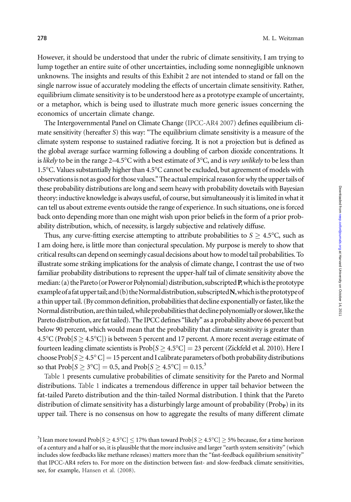However, it should be understood that under the rubric of climate sensitivity, I am trying to lump together an entire suite of other uncertainties, including some nonnegligible unknown unknowns. The insights and results of this Exhibit 2 are not intended to stand or fall on the single narrow issue of accurately modeling the effects of uncertain climate sensitivity. Rather, equilibrium climate sensitivity is to be understood here as a prototype example of uncertainty, or a metaphor, which is being used to illustrate much more generic issues concerning the economics of uncertain climate change.

The Intergovernmental Panel on Climate Change (IPCC-AR4 2007) defines equilibrium climate sensitivity (hereafter S) this way: ''The equilibrium climate sensitivity is a measure of the climate system response to sustained radiative forcing. It is not a projection but is defined as the global average surface warming following a doubling of carbon dioxide concentrations. It is *likely* to be in the range 2–4.5°C with a best estimate of 3°C, and is *very unlikely* to be less than 1.5°C. Values substantially higher than 4.5°C cannot be excluded, but agreement of models with observationsis not as good for those values.'' The actualempirical reason for why the upper tails of these probability distributions are long and seem heavy with probability dovetails with Bayesian theory: inductive knowledge is always useful, of course, but simultaneously it is limited in what it can tell us about extreme events outside the range of experience. In such situations, one is forced back onto depending more than one might wish upon prior beliefs in the form of a prior probability distribution, which, of necessity, is largely subjective and relatively diffuse.

Thus, any curve-fitting exercise attempting to attribute probabilities to  $S \geq 4.5^{\circ}C$ , such as I am doing here, is little more than conjectural speculation. My purpose is merely to show that critical results can depend on seemingly casual decisions about how to model tail probabilities. To illustrate some striking implications for the analysis of climate change, I contrast the use of two familiar probability distributions to represent the upper-half tail of climate sensitivity above the median: (a) the Pareto (or Power or Polynomial) distribution, subscripted P, which is the prototype example of a fat upper tail; and (b) the Normal distribution, subscripted  $N$ , which is the prototype of a thin upper tail. (By common definition, probabilities that decline exponentially or faster, like the Normal distribution, are thin tailed, while probabilities that decline polynomially or slower, like the Pareto distribution, are fat tailed). The IPCC defines ''likely'' as a probability above 66 percent but below 90 percent, which would mean that the probability that climate sensitivity is greater than  $4.5^{\circ}$ C (Prob[ $S \geq 4.5^{\circ}$ C]) is between 5 percent and 17 percent. A more recent average estimate of fourteen leading climate scientists is Prob ${\rm [S\,{\ge}\,4.5^oC]}=23$  percent (Zickfeld et al. 2010). Here I choose Prob ${\rm [S\,{\geq}\,4.5^o\,C]}$   $=$  15 percent and I calibrate parameters of both probability distributions so that  $\text{Prob}[S \geq 3^{\circ}\text{C}] = 0.5$ , and  $\text{Prob}[S \geq 4.5^{\circ}\text{C}] = 0.15.^3$ 

Table 1 presents cumulative probabilities of climate sensitivity for the Pareto and Normal distributions. Table 1 indicates a tremendous difference in upper tail behavior between the fat-tailed Pareto distribution and the thin-tailed Normal distribution. I think that the Pareto distribution of climate sensitivity has a disturbingly large amount of probability ( $\text{Prob}_P$ ) in its upper tail. There is no consensus on how to aggregate the results of many different climate

 $^3$ I lean more toward Prob $[S \geq 4.5^{\circ}\rm C] \leq$  17% than toward Prob $[S \geq 4.5^{\circ}\rm C] \geq$  5% because, for a time horizon of a century and a half or so, it is plausible that the more inclusive and larger ''earth system sensitivity'' (which includes slow feedbacks like methane releases) matters more than the ''fast-feedback equilibrium sensitivity'' that IPCC-AR4 refers to. For more on the distinction between fast- and slow-feedback climate sensitivities, see, for example, Hansen et al. (2008).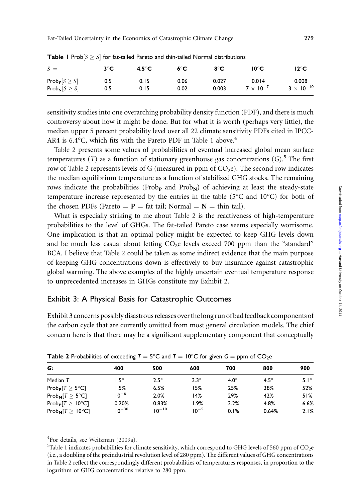| $\hat{S} =$                          | $3^{\circ}C$ | $4.5^{\circ}$ C | 6°C  | 8°C   | $10^{\circ}$ C     | 12°C                |
|--------------------------------------|--------------|-----------------|------|-------|--------------------|---------------------|
| Prob <sub>p</sub> $[S \geq \hat{S}]$ | 0.5          | 0.15            | 0.06 | 0.027 | 0.014              | 0.008               |
| Prob <sub>N</sub> $[S \geq \hat{S}]$ | 0.5          | 0.15            | 0.02 | 0.003 | $7 \times 10^{-7}$ | $3 \times 10^{-10}$ |

**Table 1** Prob $[S \geq \hat{S}]$  for fat-tailed Pareto and thin-tailed Normal distributions

sensitivity studies into one overarching probability density function (PDF), and there is much controversy about how it might be done. But for what it is worth (perhaps very little), the median upper 5 percent probability level over all 22 climate sensitivity PDFs cited in IPCC-AR4 is 6.4°C, which fits with the Pareto PDF in Table 1 above.<sup>4</sup>

Table 2 presents some values of probabilities of eventual increased global mean surface temperatures (T) as a function of stationary greenhouse gas concentrations  $(G)$ .<sup>5</sup> The first row of Table 2 represents levels of G (measured in ppm of  $CO<sub>2</sub>e$ ). The second row indicates the median equilibrium temperature as a function of stabilized GHG stocks. The remaining rows indicate the probabilities ( $Prob_{\mathbf{P}}$  and  $Prob_{\mathbf{N}}$ ) of achieving at least the steady-state temperature increase represented by the entries in the table (5 $\degree$ C and 10 $\degree$ C) for both of the chosen PDFs (Pareto =  $P =$  fat tail; Normal =  $N =$  thin tail).

What is especially striking to me about Table 2 is the reactiveness of high-temperature probabilities to the level of GHGs. The fat-tailed Pareto case seems especially worrisome. One implication is that an optimal policy might be expected to keep GHG levels down and be much less casual about letting  $CO<sub>2</sub>e$  levels exceed 700 ppm than the "standard" BCA. I believe that Table 2 could be taken as some indirect evidence that the main purpose of keeping GHG concentrations down is effectively to buy insurance against catastrophic global warming. The above examples of the highly uncertain eventual temperature response to unprecedented increases in GHGs constitute my Exhibit 2.

#### Exhibit 3: A Physical Basis for Catastrophic Outcomes

Exhibit 3 concerns possibly disastrous releases over the long run of bad feedback components of the carbon cycle that are currently omitted from most general circulation models. The chief concern here is that there may be a significant supplementary component that conceptually

| 400        | 500         | 600         | 700         | 800         | 900         |
|------------|-------------|-------------|-------------|-------------|-------------|
| $.5^\circ$ | $2.5^\circ$ | $3.3^\circ$ | $4.0^\circ$ | $4.5^\circ$ | $5.1^\circ$ |
| I.5%       | 6.5%        | 15%         | 25%         | 38%         | 52%         |
| $10^{-6}$  | 2.0%        | 14%         | 29%         | 42%         | 51%         |
| 0.20%      | 0.83%       | l.9%        | 3.2%        | 4.8%        | 6.6%        |
| $10^{-30}$ | $10^{-10}$  | $10^{-5}$   | 0.1%        | 0.64%       | 2.1%        |
|            |             |             |             |             |             |

**Table 2** Probabilities of exceeding  $T = 5^{\circ}\mathsf{C}$  and  $T = 10^{\circ}\mathsf{C}$  for given  $\mathsf{G} =$  ppm of  $\mathsf{CO}_{2}\mathsf{e}$ 

 ${}^{4}$ For details, see Weitzman (2009a).

 $5$ Table 1 indicates probabilities for climate sensitivity, which correspond to GHG levels of 560 ppm of CO<sub>2</sub>e (i.e., a doubling of the preindustrial revolution level of 280 ppm). The different values of GHG concentrations in Table 2 reflect the correspondingly different probabilities of temperatures responses, in proportion to the logarithm of GHG concentrations relative to 280 ppm.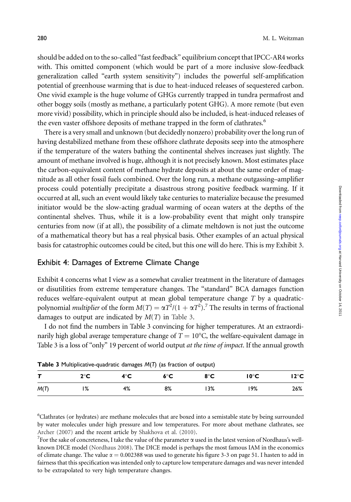should be added on to the so-called ''fast feedback'' equilibrium concept that IPCC-AR4 works with. This omitted component (which would be part of a more inclusive slow-feedback generalization called ''earth system sensitivity'') includes the powerful self-amplification potential of greenhouse warming that is due to heat-induced releases of sequestered carbon. One vivid example is the huge volume of GHGs currently trapped in tundra permafrost and other boggy soils (mostly as methane, a particularly potent GHG). A more remote (but even more vivid) possibility, which in principle should also be included, is heat-induced releases of the even vaster offshore deposits of methane trapped in the form of clathrates.<sup>6</sup>

There is a very small and unknown (but decidedly nonzero) probability over the long run of having destabilized methane from these offshore clathrate deposits seep into the atmosphere if the temperature of the waters bathing the continental shelves increases just slightly. The amount of methane involved is huge, although it is not precisely known. Most estimates place the carbon-equivalent content of methane hydrate deposits at about the same order of magnitude as all other fossil fuels combined. Over the long run, a methane outgassing–amplifier process could potentially precipitate a disastrous strong positive feedback warming. If it occurred at all, such an event would likely take centuries to materialize because the presumed initiator would be the slow-acting gradual warming of ocean waters at the depths of the continental shelves. Thus, while it is a low-probability event that might only transpire centuries from now (if at all), the possibility of a climate meltdown is not just the outcome of a mathematical theory but has a real physical basis. Other examples of an actual physical basis for catastrophic outcomes could be cited, but this one will do here. This is my Exhibit 3.

#### Exhibit 4: Damages of Extreme Climate Change

Exhibit 4 concerns what I view as a somewhat cavalier treatment in the literature of damages or disutilities from extreme temperature changes. The ''standard'' BCA damages function reduces welfare-equivalent output at mean global temperature change T by a quadraticpolynomial *multiplier* of the form  $M(T) = \alpha T^2/(1 + \alpha T^2)$ .<sup>7</sup> The results in terms of fractional damages to output are indicated by  $M(T)$  in Table 3.

I do not find the numbers in Table 3 convincing for higher temperatures. At an extraordinarily high global average temperature change of  $T=10^{\circ}$ C, the welfare-equivalent damage in Table 3 is a loss of "only" 19 percent of world output *at the time of impact*. If the annual growth

|              | the contract of the contract of the contract of the contract of the contract of the contract of the contract of |     |               |     |                |                |  |
|--------------|-----------------------------------------------------------------------------------------------------------------|-----|---------------|-----|----------------|----------------|--|
| $\mathbf{T}$ | $2^{\circ}$ C                                                                                                   | 4°C | $6^{\circ}$ C | 8°C | $10^{\circ}$ C | $12^{\circ}$ C |  |
| M(T)         | 1%                                                                                                              | 4%  | 8%            | 13% | 19%            | 26%            |  |

Table 3 Multiplicative-quadratic damages M(T) (as fraction of output)

<sup>6</sup>Clathrates (or hydrates) are methane molecules that are boxed into a semistable state by being surrounded by water molecules under high pressure and low temperatures. For more about methane clathrates, see Archer (2007) and the recent article by Shakhova et al. (2010).

For the sake of concreteness, I take the value of the parameter  $\alpha$  used in the latest version of Nordhaus's wellknown DICE model (Nordhaus 2008). The DICE model is perhaps the most famous IAM in the economics of climate change. The value  $\alpha = 0.002388$  was used to generate his figure 3-3 on page 51. I hasten to add in fairness that this specification was intended only to capture low temperature damages and was never intended to be extrapolated to very high temperature changes.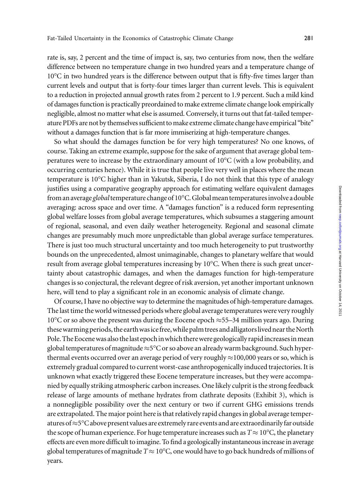rate is, say, 2 percent and the time of impact is, say, two centuries from now, then the welfare difference between no temperature change in two hundred years and a temperature change of 10°C in two hundred years is the difference between output that is fifty-five times larger than current levels and output that is forty-four times larger than current levels. This is equivalent to a reduction in projected annual growth rates from 2 percent to 1.9 percent. Such a mild kind of damages function is practically preordained to make extreme climate change look empirically negligible, almost no matter what else is assumed. Conversely, it turns out that fat-tailed temperature PDFs are not by themselves sufficient to make extreme climate change have empirical ''bite'' without a damages function that is far more immiserizing at high-temperature changes.

So what should the damages function be for very high temperatures? No one knows, of course. Taking an extreme example, suppose for the sake of argument that average global temperatures were to increase by the extraordinary amount of  $10^{\circ}\mathrm{C}$  (with a low probability, and occurring centuries hence). While it is true that people live very well in places where the mean temperature is 10°C higher than in Yakutsk, Siberia, I do not think that this type of analogy justifies using a comparative geography approach for estimating welfare equivalent damages from an average *global* temperature change of 10°C. Global mean temperatures involve a double averaging: across space and over time. A ''damages function'' is a reduced form representing global welfare losses from global average temperatures, which subsumes a staggering amount of regional, seasonal, and even daily weather heterogeneity. Regional and seasonal climate changes are presumably much more unpredictable than global average surface temperatures. There is just too much structural uncertainty and too much heterogeneity to put trustworthy bounds on the unprecedented, almost unimaginable, changes to planetary welfare that would result from average global temperatures increasing by  $10^{\circ}$ C. When there is such great uncertainty about catastrophic damages, and when the damages function for high-temperature changes is so conjectural, the relevant degree of risk aversion, yet another important unknown here, will tend to play a significant role in an economic analysis of climate change.

Of course, I have no objective way to determine the magnitudes of high-temperature damages. The last time the world witnessed periods where global average temperatures were very roughly 10<sup>o</sup>C or so above the present was during the Eocene epoch  $\approx$  55–34 million years ago. During these warming periods, the earth was ice free, while palm trees and alligators lived near the North Pole. The Eocene was also the last epoch inwhich therewere geologically rapid increases in mean global temperatures of magnitude  $\approx$ 5°C or so above an already warm background. Such hyperthermal events occurred over an average period of very roughly  $\approx$  100,000 years or so, which is extremely gradual compared to current worst-case anthropogenically induced trajectories. It is unknown what exactly triggered these Eocene temperature increases, but they were accompanied by equally striking atmospheric carbon increases. One likely culprit is the strong feedback release of large amounts of methane hydrates from clathrate deposits (Exhibit 3), which is a nonnegligible possibility over the next century or two if current GHG emissions trends are extrapolated. The major point here is that relatively rapid changes in global average temperatures of  $\approx$  5°C above present values are extremely rare events and are extraordinarily far outside the scope of human experience. For huge temperature increases such as  $T\!\approx\!10^{\rm o}{\rm C}$ , the planetary effects are even more difficult to imagine. To find a geologically instantaneous increase in average global temperatures of magnitude  $T$   $\approx$  10°C, one would have to go back hundreds of millions of years.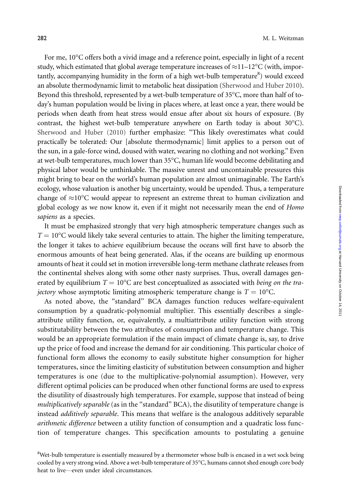For me, 10°C offers both a vivid image and a reference point, especially in light of a recent study, which estimated that global average temperature increases of  $\approx$ 11–12°C (with, importantly, accompanying humidity in the form of a high wet-bulb temperature<sup>8</sup>) would exceed an absolute thermodynamic limit to metabolic heat dissipation (Sherwood and Huber 2010). Beyond this threshold, represented by a wet-bulb temperature of 35°C, more than half of today's human population would be living in places where, at least once a year, there would be periods when death from heat stress would ensue after about six hours of exposure. (By contrast, the highest wet-bulb temperature anywhere on Earth today is about  $30^{\circ}$ C). Sherwood and Huber (2010) further emphasize: ''This likely overestimates what could practically be tolerated: Our [absolute thermodynamic] limit applies to a person out of the sun, in a gale-force wind, doused with water, wearing no clothing and not working.'' Even at wet-bulb temperatures, much lower than 35°C, human life would become debilitating and physical labor would be unthinkable. The massive unrest and uncontainable pressures this might bring to bear on the world's human population are almost unimaginable. The Earth's ecology, whose valuation is another big uncertainty, would be upended. Thus, a temperature change of  $\approx$ 10°C would appear to represent an extreme threat to human civilization and global ecology as we now know it, even if it might not necessarily mean the end of Homo sapiens as a species.

It must be emphasized strongly that very high atmospheric temperature changes such as  $T = 10^{\circ}$ C would likely take several centuries to attain. The higher the limiting temperature, the longer it takes to achieve equilibrium because the oceans will first have to absorb the enormous amounts of heat being generated. Alas, if the oceans are building up enormous amounts of heat it could set in motion irreversible long-term methane clathrate releases from the continental shelves along with some other nasty surprises. Thus, overall damages generated by equilibrium  $T = 10^{\circ}\text{C}$  are best conceptualized as associated with *being on the tra*jectory whose asymptotic limiting atmospheric temperature change is  $T = 10^{\circ}$ C.

As noted above, the ''standard'' BCA damages function reduces welfare-equivalent consumption by a quadratic-polynomial multiplier. This essentially describes a singleattribute utility function, or, equivalently, a multiattribute utility function with strong substitutability between the two attributes of consumption and temperature change. This would be an appropriate formulation if the main impact of climate change is, say, to drive up the price of food and increase the demand for air conditioning. This particular choice of functional form allows the economy to easily substitute higher consumption for higher temperatures, since the limiting elasticity of substitution between consumption and higher temperatures is one (due to the multiplicative-polynomial assumption). However, very different optimal policies can be produced when other functional forms are used to express the disutility of disastrously high temperatures. For example, suppose that instead of being multiplicatively separable (as in the "standard" BCA), the disutility of temperature change is instead additively separable. This means that welfare is the analogous additively separable *arithmetic difference* between a utility function of consumption and a quadratic loss function of temperature changes. This specification amounts to postulating a genuine

<sup>&</sup>lt;sup>8</sup>Wet-bulb temperature is essentially measured by a thermometer whose bulb is encased in a wet sock being cooled by a very strong wind. Above a wet-bulb temperature of 35°C, humans cannot shed enough core body heat to live—even under ideal circumstances.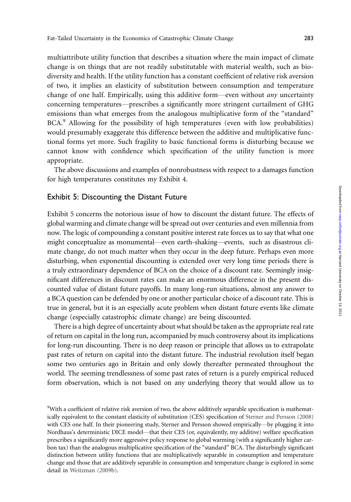multiattribute utility function that describes a situation where the main impact of climate change is on things that are not readily substitutable with material wealth, such as biodiversity and health. If the utility function has a constant coefficient of relative risk aversion of two, it implies an elasticity of substitution between consumption and temperature change of one half. Empirically, using this additive form—even without *any* uncertainty concerning temperatures—prescribes a significantly more stringent curtailment of GHG emissions than what emerges from the analogous multiplicative form of the ''standard'' BCA.<sup>9</sup> Allowing for the possibility of high temperatures (even with low probabilities) would presumably exaggerate this difference between the additive and multiplicative functional forms yet more. Such fragility to basic functional forms is disturbing because we cannot know with confidence which specification of the utility function is more appropriate.

The above discussions and examples of nonrobustness with respect to a damages function for high temperatures constitutes my Exhibit 4.

### Exhibit 5: Discounting the Distant Future

Exhibit 5 concerns the notorious issue of how to discount the distant future. The effects of global warming and climate change will be spread out over centuries and even millennia from now. The logic of compounding a constant positive interest rate forces us to say that what one might conceptualize as monumental—even earth-shaking—events, such as disastrous climate change, do not much matter when they occur in the deep future. Perhaps even more disturbing, when exponential discounting is extended over very long time periods there is a truly extraordinary dependence of BCA on the choice of a discount rate. Seemingly insignificant differences in discount rates can make an enormous difference in the present discounted value of distant future payoffs. In many long-run situations, almost any answer to a BCA question can be defended by one or another particular choice of a discount rate. This is true in general, but it is an especially acute problem when distant future events like climate change (especially catastrophic climate change) are being discounted.

There is a high degree of uncertainty about what should be taken as the appropriate real rate of return on capital in the long run, accompanied by much controversy about its implications for long-run discounting. There is no deep reason or principle that allows us to extrapolate past rates of return on capital into the distant future. The industrial revolution itself began some two centuries ago in Britain and only slowly thereafter permeated throughout the world. The seeming trendlessness of some past rates of return is a purely empirical reduced form observation, which is not based on any underlying theory that would allow us to

<sup>&</sup>lt;sup>9</sup>With a coefficient of relative risk aversion of two, the above additively separable specification is mathematically equivalent to the constant elasticity of substitution (CES) specification of Sterner and Persson (2008) with CES one half. In their pioneering study, Sterner and Persson showed empirically—by plugging it into Nordhaus's deterministic DICE model—that their CES (or, equivalently, my additive) welfare specification prescribes a significantly more aggressive policy response to global warming (with a significantly higher carbon tax) than the analogous multiplicative specification of the ''standard'' BCA. The disturbingly significant distinction between utility functions that are multiplicatively separable in consumption and temperature change and those that are additively separable in consumption and temperature change is explored in some detail in Weitzman (2009b).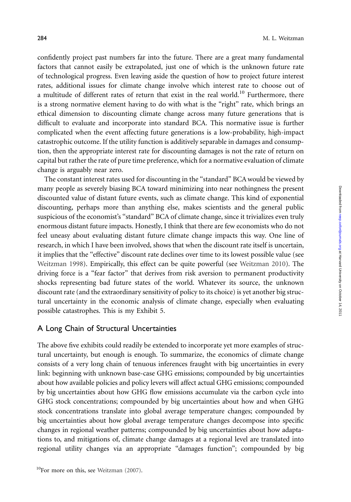confidently project past numbers far into the future. There are a great many fundamental factors that cannot easily be extrapolated, just one of which is the unknown future rate of technological progress. Even leaving aside the question of how to project future interest rates, additional issues for climate change involve which interest rate to choose out of a multitude of different rates of return that exist in the real world.<sup>10</sup> Furthermore, there is a strong normative element having to do with what is the "right" rate, which brings an ethical dimension to discounting climate change across many future generations that is difficult to evaluate and incorporate into standard BCA. This normative issue is further complicated when the event affecting future generations is a low-probability, high-impact catastrophic outcome. If the utility function is additively separable in damages and consumption, then the appropriate interest rate for discounting damages is not the rate of return on capital but rather the rate of pure time preference, which for a normative evaluation of climate change is arguably near zero.

The constant interest rates used for discounting in the ''standard'' BCA would be viewed by many people as severely biasing BCA toward minimizing into near nothingness the present discounted value of distant future events, such as climate change. This kind of exponential discounting, perhaps more than anything else, makes scientists and the general public suspicious of the economist's "standard" BCA of climate change, since it trivializes even truly enormous distant future impacts. Honestly, I think that there are few economists who do not feel uneasy about evaluating distant future climate change impacts this way. One line of research, in which I have been involved, shows that when the discount rate itself is uncertain, it implies that the ''effective'' discount rate declines over time to its lowest possible value (see Weitzman 1998). Empirically, this effect can be quite powerful (see Weitzman 2010). The driving force is a ''fear factor'' that derives from risk aversion to permanent productivity shocks representing bad future states of the world. Whatever its source, the unknown discount rate (and the extraordinary sensitivity of policy to its choice) is yet another big structural uncertainty in the economic analysis of climate change, especially when evaluating possible catastrophes. This is my Exhibit 5.

#### A Long Chain of Structural Uncertainties

The above five exhibits could readily be extended to incorporate yet more examples of structural uncertainty, but enough is enough. To summarize, the economics of climate change consists of a very long chain of tenuous inferences fraught with big uncertainties in every link: beginning with unknown base-case GHG emissions; compounded by big uncertainties about how available policies and policy levers will affect actual GHG emissions; compounded by big uncertainties about how GHG flow emissions accumulate via the carbon cycle into GHG stock concentrations; compounded by big uncertainties about how and when GHG stock concentrations translate into global average temperature changes; compounded by big uncertainties about how global average temperature changes decompose into specific changes in regional weather patterns; compounded by big uncertainties about how adaptations to, and mitigations of, climate change damages at a regional level are translated into regional utility changes via an appropriate ''damages function''; compounded by big

 $10$ For more on this, see Weitzman (2007).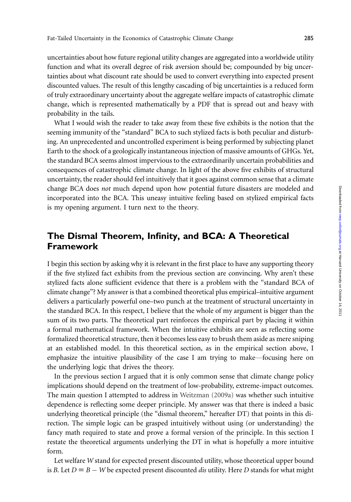uncertainties about how future regional utility changes are aggregated into a worldwide utility function and what its overall degree of risk aversion should be; compounded by big uncertainties about what discount rate should be used to convert everything into expected present discounted values. The result of this lengthy cascading of big uncertainties is a reduced form of truly extraordinary uncertainty about the aggregate welfare impacts of catastrophic climate change, which is represented mathematically by a PDF that is spread out and heavy with probability in the tails.

What I would wish the reader to take away from these five exhibits is the notion that the seeming immunity of the ''standard'' BCA to such stylized facts is both peculiar and disturbing. An unprecedented and uncontrolled experiment is being performed by subjecting planet Earth to the shock of a geologically instantaneous injection of massive amounts of GHGs. Yet, the standard BCA seems almost impervious to the extraordinarily uncertain probabilities and consequences of catastrophic climate change. In light of the above five exhibits of structural uncertainty, the reader should feel intuitively that it goes against common sense that a climate change BCA does not much depend upon how potential future disasters are modeled and incorporated into the BCA. This uneasy intuitive feeling based on stylized empirical facts is my opening argument. I turn next to the theory.

# The Dismal Theorem, Infinity, and BCA: A Theoretical Framework

I begin this section by asking why it is relevant in the first place to have any supporting theory if the five stylized fact exhibits from the previous section are convincing. Why aren't these stylized facts alone sufficient evidence that there is a problem with the ''standard BCA of climate change''? My answer is that a combined theoretical plus empirical–intuitive argument delivers a particularly powerful one–two punch at the treatment of structural uncertainty in the standard BCA. In this respect, I believe that the whole of my argument is bigger than the sum of its two parts. The theoretical part reinforces the empirical part by placing it within a formal mathematical framework. When the intuitive exhibits are seen as reflecting some formalized theoretical structure, then it becomes less easy to brush them aside as mere sniping at an established model. In this theoretical section, as in the empirical section above, I emphasize the intuitive plausibility of the case I am trying to make—focusing here on the underlying logic that drives the theory.

In the previous section I argued that it is only common sense that climate change policy implications should depend on the treatment of low-probability, extreme-impact outcomes. The main question I attempted to address in Weitzman (2009a) was whether such intuitive dependence is reflecting some deeper principle. My answer was that there is indeed a basic underlying theoretical principle (the ''dismal theorem,'' hereafter DT) that points in this direction. The simple logic can be grasped intuitively without using (or understanding) the fancy math required to state and prove a formal version of the principle. In this section I restate the theoretical arguments underlying the DT in what is hopefully a more intuitive form.

Let welfare W stand for expected present discounted utility, whose theoretical upper bound is B. Let  $D = B - W$  be expected present discounted *dis* utility. Here D stands for what might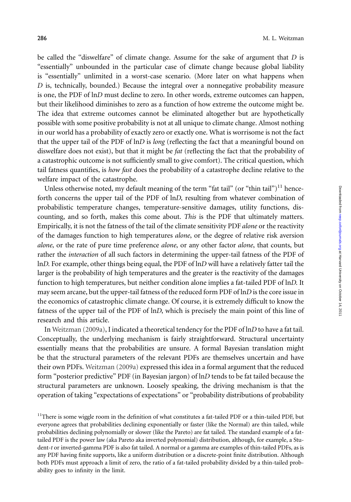be called the "diswelfare" of climate change. Assume for the sake of argument that  $D$  is ''essentially'' unbounded in the particular case of climate change because global liability is ''essentially'' unlimited in a worst-case scenario. (More later on what happens when  $D$  is, technically, bounded.) Because the integral over a nonnegative probability measure is one, the PDF of lnD must decline to zero. In other words, extreme outcomes can happen, but their likelihood diminishes to zero as a function of how extreme the outcome might be. The idea that extreme outcomes cannot be eliminated altogether but are hypothetically possible with some positive probability is not at all unique to climate change. Almost nothing in our world has a probability of exactly zero or exactly one. What is worrisome is not the fact that the upper tail of the PDF of  $lnD$  is *long* (reflecting the fact that a meaningful bound on diswelfare does not exist), but that it might be *fat* (reflecting the fact that the probability of a catastrophic outcome is not sufficiently small to give comfort). The critical question, which tail fatness quantifies, is how fast does the probability of a catastrophe decline relative to the welfare impact of the catastrophe.

Unless otherwise noted, my default meaning of the term "fat tail" (or "thin tail") $^{11}$  henceforth concerns the upper tail of the PDF of lnD, resulting from whatever combination of probabilistic temperature changes, temperature-sensitive damages, utility functions, discounting, and so forth, makes this come about. This is the PDF that ultimately matters. Empirically, it is not the fatness of the tail of the climate sensitivity PDF alone or the reactivity of the damages function to high temperatures *alone*, or the degree of relative risk aversion alone, or the rate of pure time preference alone, or any other factor alone, that counts, but rather the interaction of all such factors in determining the upper-tail fatness of the PDF of lnD. For example, other things being equal, the PDF of lnD will have a relatively fatter tail the larger is the probability of high temperatures and the greater is the reactivity of the damages function to high temperatures, but neither condition alone implies a fat-tailed PDF of lnD. It may seem arcane, but the upper-tail fatness of the reduced form PDF of lnD is the core issue in the economics of catastrophic climate change. Of course, it is extremely difficult to know the fatness of the upper tail of the PDF of lnD, which is precisely the main point of this line of research and this article.

In Weitzman (2009a), I indicated a theoretical tendency for the PDF of lnD to have a fat tail. Conceptually, the underlying mechanism is fairly straightforward. Structural uncertainty essentially means that the probabilities are unsure. A formal Bayesian translation might be that the structural parameters of the relevant PDFs are themselves uncertain and have their own PDFs. Weitzman (2009a) expressed this idea in a formal argument that the reduced form ''posterior predictive'' PDF (in Bayesian jargon) of lnD tends to be fat tailed because the structural parameters are unknown. Loosely speaking, the driving mechanism is that the operation of taking ''expectations of expectations'' or ''probability distributions of probability

<sup>&</sup>lt;sup>11</sup>There is some wiggle room in the definition of what constitutes a fat-tailed PDF or a thin-tailed PDF, but everyone agrees that probabilities declining exponentially or faster (like the Normal) are thin tailed, while probabilities declining polynomially or slower (like the Pareto) are fat tailed. The standard example of a fattailed PDF is the power law (aka Pareto aka inverted polynomial) distribution, although, for example, a Student-t or inverted-gamma PDF is also fat tailed. A normal or a gamma are examples of thin-tailed PDFs, as is any PDF having finite supports, like a uniform distribution or a discrete-point finite distribution. Although both PDFs must approach a limit of zero, the ratio of a fat-tailed probability divided by a thin-tailed probability goes to infinity in the limit.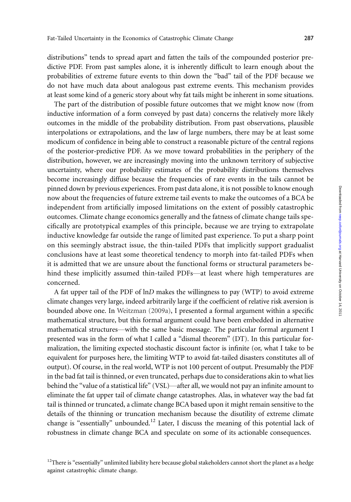distributions'' tends to spread apart and fatten the tails of the compounded posterior predictive PDF. From past samples alone, it is inherently difficult to learn enough about the probabilities of extreme future events to thin down the ''bad'' tail of the PDF because we do not have much data about analogous past extreme events. This mechanism provides at least some kind of a generic story about why fat tails might be inherent in some situations.

The part of the distribution of possible future outcomes that we might know now (from inductive information of a form conveyed by past data) concerns the relatively more likely outcomes in the middle of the probability distribution. From past observations, plausible interpolations or extrapolations, and the law of large numbers, there may be at least some modicum of confidence in being able to construct a reasonable picture of the central regions of the posterior-predictive PDF. As we move toward probabilities in the periphery of the distribution, however, we are increasingly moving into the unknown territory of subjective uncertainty, where our probability estimates of the probability distributions themselves become increasingly diffuse because the frequencies of rare events in the tails cannot be pinned down by previous experiences. From past data alone, it is not possible to know enough now about the frequencies of future extreme tail events to make the outcomes of a BCA be independent from artificially imposed limitations on the extent of possibly catastrophic outcomes. Climate change economics generally and the fatness of climate change tails specifically are prototypical examples of this principle, because we are trying to extrapolate inductive knowledge far outside the range of limited past experience. To put a sharp point on this seemingly abstract issue, the thin-tailed PDFs that implicitly support gradualist conclusions have at least some theoretical tendency to morph into fat-tailed PDFs when it is admitted that we are unsure about the functional forms or structural parameters behind these implicitly assumed thin-tailed PDFs—at least where high temperatures are concerned.

A fat upper tail of the PDF of lnD makes the willingness to pay (WTP) to avoid extreme climate changes very large, indeed arbitrarily large if the coefficient of relative risk aversion is bounded above one. In Weitzman (2009a), I presented a formal argument within a specific mathematical structure, but this formal argument could have been embedded in alternative mathematical structures—with the same basic message. The particular formal argument I presented was in the form of what I called a ''dismal theorem'' (DT). In this particular formalization, the limiting expected stochastic discount factor is infinite (or, what I take to be equivalent for purposes here, the limiting WTP to avoid fat-tailed disasters constitutes all of output). Of course, in the real world, WTP is not 100 percent of output. Presumably the PDF in the bad fat tail is thinned, or even truncated, perhaps due to considerations akin to what lies behind the "value of a statistical life" (VSL)—after all, we would not pay an infinite amount to eliminate the fat upper tail of climate change catastrophes. Alas, in whatever way the bad fat tail is thinned or truncated, a climate change BCA based upon it might remain sensitive to the details of the thinning or truncation mechanism because the disutility of extreme climate change is "essentially" unbounded.<sup>12</sup> Later, I discuss the meaning of this potential lack of robustness in climate change BCA and speculate on some of its actionable consequences.

<sup>&</sup>lt;sup>12</sup>There is "essentially" unlimited liability here because global stakeholders cannot short the planet as a hedge against catastrophic climate change.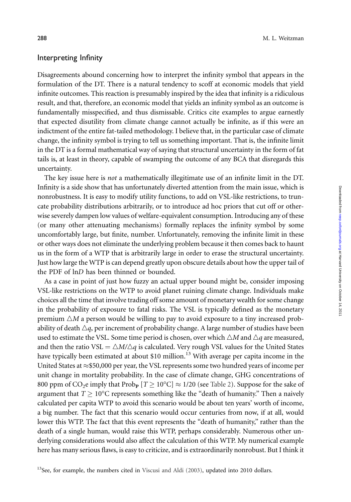#### Interpreting Infinity

Disagreements abound concerning how to interpret the infinity symbol that appears in the formulation of the DT. There is a natural tendency to scoff at economic models that yield infinite outcomes. This reaction is presumably inspired by the idea that infinity is a ridiculous result, and that, therefore, an economic model that yields an infinity symbol as an outcome is fundamentally misspecified, and thus dismissable. Critics cite examples to argue earnestly that expected disutility from climate change cannot actually be infinite, as if this were an indictment of the entire fat-tailed methodology. I believe that, in the particular case of climate change, the infinity symbol is trying to tell us something important. That is, the infinite limit in the DT is a formal mathematical way of saying that structural uncertainty in the form of fat tails is, at least in theory, capable of swamping the outcome of any BCA that disregards this uncertainty.

The key issue here is *not* a mathematically illegitimate use of an infinite limit in the DT. Infinity is a side show that has unfortunately diverted attention from the main issue, which is nonrobustness. It is easy to modify utility functions, to add on VSL-like restrictions, to truncate probability distributions arbitrarily, or to introduce ad hoc priors that cut off or otherwise severely dampen low values of welfare-equivalent consumption. Introducing any of these (or many other attenuating mechanisms) formally replaces the infinity symbol by some uncomfortably large, but finite, number. Unfortunately, removing the infinite limit in these or other ways does not eliminate the underlying problem because it then comes back to haunt us in the form of a WTP that is arbitrarily large in order to erase the structural uncertainty. Just how large the WTP is can depend greatly upon obscure details about how the upper tail of the PDF of lnD has been thinned or bounded.

As a case in point of just how fuzzy an actual upper bound might be, consider imposing VSL-like restrictions on the WTP to avoid planet ruining climate change. Individuals make choices all the time that involve trading off some amount of monetary wealth for some change in the probability of exposure to fatal risks. The VSL is typically defined as the monetary premium  $\triangle M$  a person would be willing to pay to avoid exposure to a tiny increased probability of death  $\Delta q$ , per increment of probability change. A large number of studies have been used to estimate the VSL. Some time period is chosen, over which  $\triangle M$  and  $\triangle q$  are measured, and then the ratio VSL =  $\triangle M/\triangle q$  is calculated. Very rough VSL values for the United States have typically been estimated at about \$10 million.<sup>13</sup> With average per capita income in the United States at  $\approx$ \$50,000 per year, the VSL represents some two hundred years of income per unit change in mortality probability. In the case of climate change, GHG concentrations of 800 ppm of CO<sub>2</sub>e imply that Prob<sub>P</sub>  $[T \geq 10^{\circ}\rm C] \approx 1/20$  (see Table 2). Suppose for the sake of argument that  $T \geq 10^{\circ}\text{C}$  represents something like the "death of humanity." Then a naively calculated per capita WTP to avoid this scenario would be about ten years' worth of income, a big number. The fact that this scenario would occur centuries from now, if at all, would lower this WTP. The fact that this event represents the "death of humanity," rather than the death of a single human, would raise this WTP, perhaps considerably. Numerous other underlying considerations would also affect the calculation of this WTP. My numerical example here has many serious flaws, is easy to criticize, and is extraordinarily nonrobust. But I think it

 $13$ See, for example, the numbers cited in Viscusi and Aldi (2003), updated into 2010 dollars.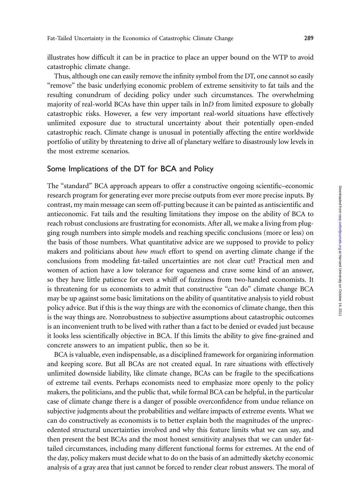illustrates how difficult it can be in practice to place an upper bound on the WTP to avoid catastrophic climate change.

Thus, although one can easily remove the infinity symbol from the DT, one cannot so easily ''remove'' the basic underlying economic problem of extreme sensitivity to fat tails and the resulting conundrum of deciding policy under such circumstances. The overwhelming majority of real-world BCAs have thin upper tails in lnD from limited exposure to globally catastrophic risks. However, a few very important real-world situations have effectively unlimited exposure due to structural uncertainty about their potentially open-ended catastrophic reach. Climate change is unusual in potentially affecting the entire worldwide portfolio of utility by threatening to drive all of planetary welfare to disastrously low levels in the most extreme scenarios.

#### Some Implications of the DT for BCA and Policy

The "standard" BCA approach appears to offer a constructive ongoing scientific–economic research program for generating ever more precise outputs from ever more precise inputs. By contrast, my main message can seem off-putting because it can be painted as antiscientific and antieconomic. Fat tails and the resulting limitations they impose on the ability of BCA to reach robust conclusions are frustrating for economists. After all, we make a living from plugging rough numbers into simple models and reaching specific conclusions (more or less) on the basis of those numbers. What quantitative advice are we supposed to provide to policy makers and politicians about *how much* effort to spend on averting climate change if the conclusions from modeling fat-tailed uncertainties are not clear cut? Practical men and women of action have a low tolerance for vagueness and crave some kind of an answer, so they have little patience for even a whiff of fuzziness from two-handed economists. It is threatening for us economists to admit that constructive ''can do'' climate change BCA may be up against some basic limitations on the ability of quantitative analysis to yield robust policy advice. But if this is the way things are with the economics of climate change, then this is the way things are. Nonrobustness to subjective assumptions about catastrophic outcomes is an inconvenient truth to be lived with rather than a fact to be denied or evaded just because it looks less scientifically objective in BCA. If this limits the ability to give fine-grained and concrete answers to an impatient public, then so be it.

BCA is valuable, even indispensable, as a disciplined framework for organizing information and keeping score. But all BCAs are not created equal. In rare situations with effectively unlimited downside liability, like climate change, BCAs can be fragile to the specifications of extreme tail events. Perhaps economists need to emphasize more openly to the policy makers, the politicians, and the public that, while formal BCA can be helpful, in the particular case of climate change there is a danger of possible overconfidence from undue reliance on subjective judgments about the probabilities and welfare impacts of extreme events. What we can do constructively as economists is to better explain both the magnitudes of the unprecedented structural uncertainties involved and why this feature limits what we can say, and then present the best BCAs and the most honest sensitivity analyses that we can under fattailed circumstances, including many different functional forms for extremes. At the end of the day, policy makers must decide what to do on the basis of an admittedly sketchy economic analysis of a gray area that just cannot be forced to render clear robust answers. The moral of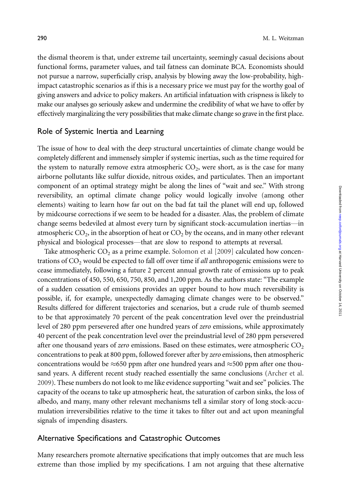the dismal theorem is that, under extreme tail uncertainty, seemingly casual decisions about functional forms, parameter values, and tail fatness can dominate BCA. Economists should not pursue a narrow, superficially crisp, analysis by blowing away the low-probability, highimpact catastrophic scenarios as if this is a necessary price we must pay for the worthy goal of giving answers and advice to policy makers. An artificial infatuation with crispness is likely to make our analyses go seriously askew and undermine the credibility of what we have to offer by effectively marginalizing the very possibilities that make climate change so grave in the first place.

#### Role of Systemic Inertia and Learning

The issue of how to deal with the deep structural uncertainties of climate change would be completely different and immensely simpler if systemic inertias, such as the time required for the system to naturally remove extra atmospheric  $CO<sub>2</sub>$ , were short, as is the case for many airborne pollutants like sulfur dioxide, nitrous oxides, and particulates. Then an important component of an optimal strategy might be along the lines of ''wait and see.'' With strong reversibility, an optimal climate change policy would logically involve (among other elements) waiting to learn how far out on the bad fat tail the planet will end up, followed by midcourse corrections if we seem to be headed for a disaster. Alas, the problem of climate change seems bedeviled at almost every turn by significant stock-accumulation inertias—in atmospheric  $CO<sub>2</sub>$ , in the absorption of heat or  $CO<sub>2</sub>$  by the oceans, and in many other relevant physical and biological processes—that are slow to respond to attempts at reversal.

Take atmospheric  $CO_2$  as a prime example. Solomon et al  $[2009]$  calculated how concentrations of  $CO<sub>2</sub>$  would be expected to fall off over time if all anthropogenic emissions were to cease immediately, following a future 2 percent annual growth rate of emissions up to peak concentrations of 450, 550, 650, 750, 850, and 1,200 ppm. As the authors state: ''The example of a sudden cessation of emissions provides an upper bound to how much reversibility is possible, if, for example, unexpectedly damaging climate changes were to be observed.'' Results differed for different trajectories and scenarios, but a crude rule of thumb seemed to be that approximately 70 percent of the peak concentration level over the preindustrial level of 280 ppm persevered after one hundred years of zero emissions, while approximately 40 percent of the peak concentration level over the preindustrial level of 280 ppm persevered after one thousand years of zero emissions. Based on these estimates, were atmospheric  $CO<sub>2</sub>$ concentrations to peak at 800 ppm, followed forever after by zero emissions, then atmospheric concentrations would be  $\approx$ 650 ppm after one hundred years and  $\approx$ 500 ppm after one thousand years. A different recent study reached essentially the same conclusions (Archer et al. 2009). These numbers do not look to me like evidence supporting ''wait and see'' policies. The capacity of the oceans to take up atmospheric heat, the saturation of carbon sinks, the loss of albedo, and many, many other relevant mechanisms tell a similar story of long stock-accumulation irreversibilities relative to the time it takes to filter out and act upon meaningful signals of impending disasters.

#### Alternative Specifications and Catastrophic Outcomes

Many researchers promote alternative specifications that imply outcomes that are much less extreme than those implied by my specifications. I am not arguing that these alternative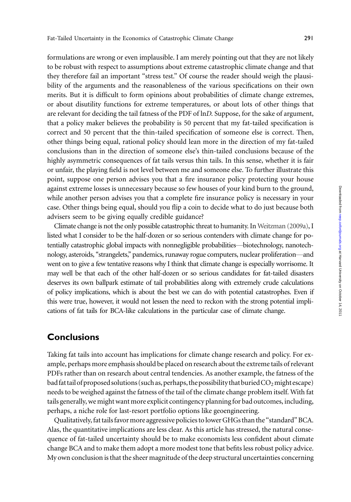formulations are wrong or even implausible. I am merely pointing out that they are not likely to be robust with respect to assumptions about extreme catastrophic climate change and that they therefore fail an important "stress test." Of course the reader should weigh the plausibility of the arguments and the reasonableness of the various specifications on their own merits. But it is difficult to form opinions about probabilities of climate change extremes, or about disutility functions for extreme temperatures, or about lots of other things that are relevant for deciding the tail fatness of the PDF of lnD. Suppose, for the sake of argument, that a policy maker believes the probability is 50 percent that my fat-tailed specification is correct and 50 percent that the thin-tailed specification of someone else is correct. Then, other things being equal, rational policy should lean more in the direction of my fat-tailed conclusions than in the direction of someone else's thin-tailed conclusions because of the highly asymmetric consequences of fat tails versus thin tails. In this sense, whether it is fair or unfair, the playing field is not level between me and someone else. To further illustrate this point, suppose one person advises you that a fire insurance policy protecting your house against extreme losses is unnecessary because so few houses of your kind burn to the ground, while another person advises you that a complete fire insurance policy is necessary in your case. Other things being equal, should you flip a coin to decide what to do just because both advisers seem to be giving equally credible guidance?

Climate change is not the only possible catastrophic threat to humanity. In Weitzman (2009a), I listed what I consider to be the half-dozen or so serious contenders with climate change for potentially catastrophic global impacts with nonnegligible probabilities—biotechnology, nanotechnology, asteroids, ''strangelets,'' pandemics, runaway rogue computers, nuclear proliferation—and went on to give a few tentative reasons why I think that climate change is especially worrisome. It may well be that each of the other half-dozen or so serious candidates for fat-tailed disasters deserves its own ballpark estimate of tail probabilities along with extremely crude calculations of policy implications, which is about the best we can do with potential catastrophes. Even if this were true, however, it would not lessen the need to reckon with the strong potential implications of fat tails for BCA-like calculations in the particular case of climate change.

## **Conclusions**

Taking fat tails into account has implications for climate change research and policy. For example, perhaps more emphasis should be placed on research about the extreme tails of relevant PDFs rather than on research about central tendencies. As another example, the fatness of the bad fat tail of proposed solutions (such as, perhaps, the possibility that buried  $CO<sub>2</sub>$  might escape) needs to be weighed against the fatness of the tail of the climate change problem itself. With fat tails generally, we might want more explicit contingency planning for bad outcomes, including, perhaps, a niche role for last-resort portfolio options like geoengineering.

Qualitatively, fat tails favor more aggressive policies to lower GHGs than the ''standard'' BCA. Alas, the quantitative implications are less clear. As this article has stressed, the natural consequence of fat-tailed uncertainty should be to make economists less confident about climate change BCA and to make them adopt a more modest tone that befits less robust policy advice. My own conclusion is that the sheer magnitude of the deep structural uncertainties concerning